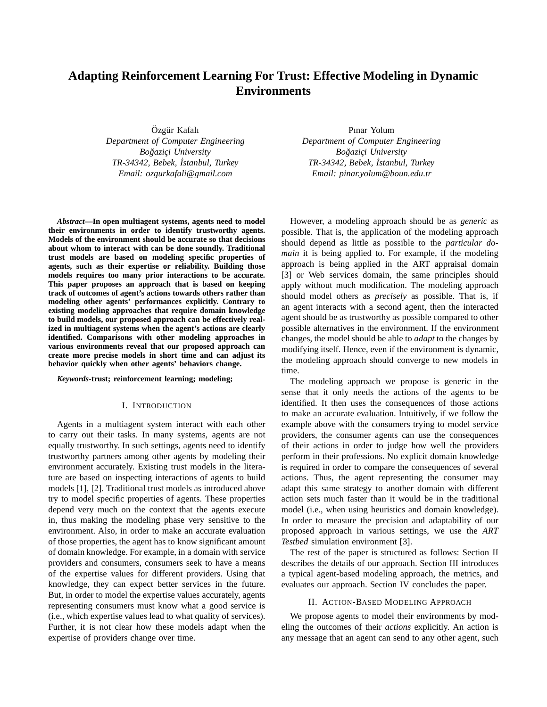# **Adapting Reinforcement Learning For Trust: Effective Modeling in Dynamic Environments**

Özgür Kafalı *Department of Computer Engineering Bogazic¸i University ˘ TR-34342, Bebek, ˙Istanbul, Turkey Email: ozgurkafali@gmail.com*

*Abstract***—In open multiagent systems, agents need to model their environments in order to identify trustworthy agents. Models of the environment should be accurate so that decisions about whom to interact with can be done soundly. Traditional trust models are based on modeling specific properties of agents, such as their expertise or reliability. Building those models requires too many prior interactions to be accurate. This paper proposes an approach that is based on keeping track of outcomes of agent's actions towards others rather than modeling other agents' performances explicitly. Contrary to existing modeling approaches that require domain knowledge to build models, our proposed approach can be effectively realized in multiagent systems when the agent's actions are clearly identified. Comparisons with other modeling approaches in various environments reveal that our proposed approach can create more precise models in short time and can adjust its behavior quickly when other agents' behaviors change.**

### *Keywords***-trust; reinforcement learning; modeling;**

## I. INTRODUCTION

Agents in a multiagent system interact with each other to carry out their tasks. In many systems, agents are not equally trustworthy. In such settings, agents need to identify trustworthy partners among other agents by modeling their environment accurately. Existing trust models in the literature are based on inspecting interactions of agents to build models [1], [2]. Traditional trust models as introduced above try to model specific properties of agents. These properties depend very much on the context that the agents execute in, thus making the modeling phase very sensitive to the environment. Also, in order to make an accurate evaluation of those properties, the agent has to know significant amount of domain knowledge. For example, in a domain with service providers and consumers, consumers seek to have a means of the expertise values for different providers. Using that knowledge, they can expect better services in the future. But, in order to model the expertise values accurately, agents representing consumers must know what a good service is (i.e., which expertise values lead to what quality of services). Further, it is not clear how these models adapt when the expertise of providers change over time.

Pınar Yolum *Department of Computer Engineering Bogazic¸i University ˘ TR-34342, Bebek, ˙Istanbul, Turkey Email: pinar.yolum@boun.edu.tr*

However, a modeling approach should be as *generic* as possible. That is, the application of the modeling approach should depend as little as possible to the *particular domain* it is being applied to. For example, if the modeling approach is being applied in the ART appraisal domain [3] or Web services domain, the same principles should apply without much modification. The modeling approach should model others as *precisely* as possible. That is, if an agent interacts with a second agent, then the interacted agent should be as trustworthy as possible compared to other possible alternatives in the environment. If the environment changes, the model should be able to *adapt* to the changes by modifying itself. Hence, even if the environment is dynamic, the modeling approach should converge to new models in time.

The modeling approach we propose is generic in the sense that it only needs the actions of the agents to be identified. It then uses the consequences of those actions to make an accurate evaluation. Intuitively, if we follow the example above with the consumers trying to model service providers, the consumer agents can use the consequences of their actions in order to judge how well the providers perform in their professions. No explicit domain knowledge is required in order to compare the consequences of several actions. Thus, the agent representing the consumer may adapt this same strategy to another domain with different action sets much faster than it would be in the traditional model (i.e., when using heuristics and domain knowledge). In order to measure the precision and adaptability of our proposed approach in various settings, we use the *ART Testbed* simulation environment [3].

The rest of the paper is structured as follows: Section II describes the details of our approach. Section III introduces a typical agent-based modeling approach, the metrics, and evaluates our approach. Section IV concludes the paper.

## II. ACTION-BASED MODELING APPROACH

We propose agents to model their environments by modeling the outcomes of their *actions* explicitly. An action is any message that an agent can send to any other agent, such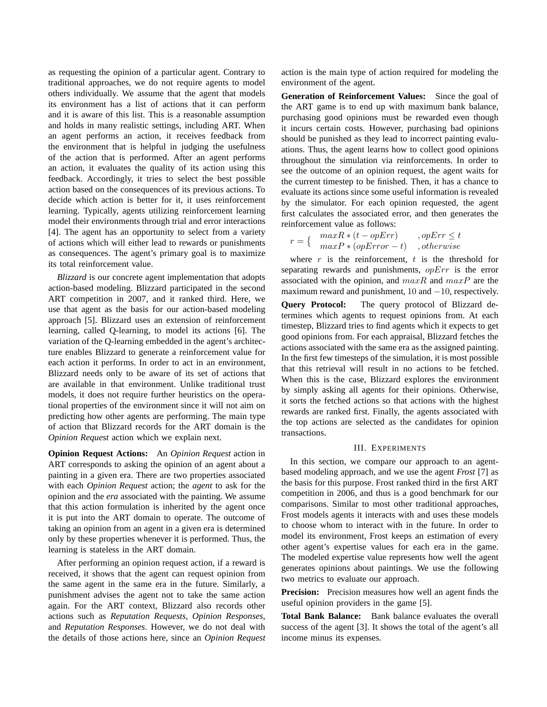as requesting the opinion of a particular agent. Contrary to traditional approaches, we do not require agents to model others individually. We assume that the agent that models its environment has a list of actions that it can perform and it is aware of this list. This is a reasonable assumption and holds in many realistic settings, including ART. When an agent performs an action, it receives feedback from the environment that is helpful in judging the usefulness of the action that is performed. After an agent performs an action, it evaluates the quality of its action using this feedback. Accordingly, it tries to select the best possible action based on the consequences of its previous actions. To decide which action is better for it, it uses reinforcement learning. Typically, agents utilizing reinforcement learning model their environments through trial and error interactions [4]. The agent has an opportunity to select from a variety of actions which will either lead to rewards or punishments as consequences. The agent's primary goal is to maximize its total reinforcement value.

*Blizzard* is our concrete agent implementation that adopts action-based modeling. Blizzard participated in the second ART competition in 2007, and it ranked third. Here, we use that agent as the basis for our action-based modeling approach [5]. Blizzard uses an extension of reinforcement learning, called Q-learning, to model its actions [6]. The variation of the Q-learning embedded in the agent's architecture enables Blizzard to generate a reinforcement value for each action it performs. In order to act in an environment, Blizzard needs only to be aware of its set of actions that are available in that environment. Unlike traditional trust models, it does not require further heuristics on the operational properties of the environment since it will not aim on predicting how other agents are performing. The main type of action that Blizzard records for the ART domain is the *Opinion Request* action which we explain next.

**Opinion Request Actions:** An *Opinion Request* action in ART corresponds to asking the opinion of an agent about a painting in a given era. There are two properties associated with each *Opinion Request* action; the *agent* to ask for the opinion and the *era* associated with the painting. We assume that this action formulation is inherited by the agent once it is put into the ART domain to operate. The outcome of taking an opinion from an agent in a given era is determined only by these properties whenever it is performed. Thus, the learning is stateless in the ART domain.

After performing an opinion request action, if a reward is received, it shows that the agent can request opinion from the same agent in the same era in the future. Similarly, a punishment advises the agent not to take the same action again. For the ART context, Blizzard also records other actions such as *Reputation Requests*, *Opinion Responses*, and *Reputation Responses*. However, we do not deal with the details of those actions here, since an *Opinion Request* action is the main type of action required for modeling the environment of the agent.

**Generation of Reinforcement Values:** Since the goal of the ART game is to end up with maximum bank balance, purchasing good opinions must be rewarded even though it incurs certain costs. However, purchasing bad opinions should be punished as they lead to incorrect painting evaluations. Thus, the agent learns how to collect good opinions throughout the simulation via reinforcements. In order to see the outcome of an opinion request, the agent waits for the current timestep to be finished. Then, it has a chance to evaluate its actions since some useful information is revealed by the simulator. For each opinion requested, the agent first calculates the associated error, and then generates the reinforcement value as follows:

$$
r = \left\{ \begin{array}{cc} maxR * (t - opErr) & , opErr \le t \\ maxP * (opError - t) & , otherwise \end{array} \right.
$$

where  $r$  is the reinforcement,  $t$  is the threshold for separating rewards and punishments, *opErr* is the error associated with the opinion, and  $maxR$  and  $maxP$  are the maximum reward and punishment, 10 and  $-10$ , respectively.

**Query Protocol:** The query protocol of Blizzard determines which agents to request opinions from. At each timestep, Blizzard tries to find agents which it expects to get good opinions from. For each appraisal, Blizzard fetches the actions associated with the same era as the assigned painting. In the first few timesteps of the simulation, it is most possible that this retrieval will result in no actions to be fetched. When this is the case, Blizzard explores the environment by simply asking all agents for their opinions. Otherwise, it sorts the fetched actions so that actions with the highest rewards are ranked first. Finally, the agents associated with the top actions are selected as the candidates for opinion transactions.

## III. EXPERIMENTS

In this section, we compare our approach to an agentbased modeling approach, and we use the agent *Frost* [7] as the basis for this purpose. Frost ranked third in the first ART competition in 2006, and thus is a good benchmark for our comparisons. Similar to most other traditional approaches, Frost models agents it interacts with and uses these models to choose whom to interact with in the future. In order to model its environment, Frost keeps an estimation of every other agent's expertise values for each era in the game. The modeled expertise value represents how well the agent generates opinions about paintings. We use the following two metrics to evaluate our approach.

**Precision:** Precision measures how well an agent finds the useful opinion providers in the game [5].

**Total Bank Balance:** Bank balance evaluates the overall success of the agent [3]. It shows the total of the agent's all income minus its expenses.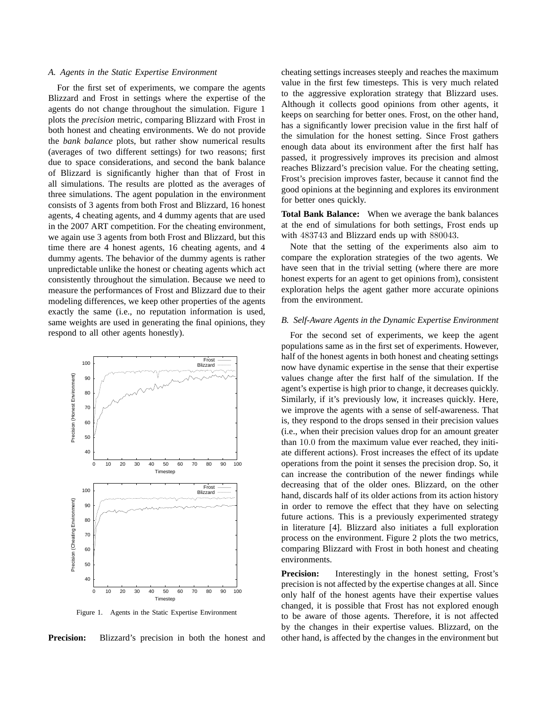# *A. Agents in the Static Expertise Environment*

For the first set of experiments, we compare the agents Blizzard and Frost in settings where the expertise of the agents do not change throughout the simulation. Figure 1 plots the *precision* metric, comparing Blizzard with Frost in both honest and cheating environments. We do not provide the *bank balance* plots, but rather show numerical results (averages of two different settings) for two reasons; first due to space considerations, and second the bank balance of Blizzard is significantly higher than that of Frost in all simulations. The results are plotted as the averages of three simulations. The agent population in the environment consists of 3 agents from both Frost and Blizzard, 16 honest agents, 4 cheating agents, and 4 dummy agents that are used in the 2007 ART competition. For the cheating environment, we again use 3 agents from both Frost and Blizzard, but this time there are 4 honest agents, 16 cheating agents, and 4 dummy agents. The behavior of the dummy agents is rather unpredictable unlike the honest or cheating agents which act consistently throughout the simulation. Because we need to measure the performances of Frost and Blizzard due to their modeling differences, we keep other properties of the agents exactly the same (i.e., no reputation information is used, same weights are used in generating the final opinions, they respond to all other agents honestly).



Figure 1. Agents in the Static Expertise Environment

**Precision:** Blizzard's precision in both the honest and

cheating settings increases steeply and reaches the maximum value in the first few timesteps. This is very much related to the aggressive exploration strategy that Blizzard uses. Although it collects good opinions from other agents, it keeps on searching for better ones. Frost, on the other hand, has a significantly lower precision value in the first half of the simulation for the honest setting. Since Frost gathers enough data about its environment after the first half has passed, it progressively improves its precision and almost reaches Blizzard's precision value. For the cheating setting, Frost's precision improves faster, because it cannot find the good opinions at the beginning and explores its environment for better ones quickly.

**Total Bank Balance:** When we average the bank balances at the end of simulations for both settings, Frost ends up with 483743 and Blizzard ends up with 880043.

Note that the setting of the experiments also aim to compare the exploration strategies of the two agents. We have seen that in the trivial setting (where there are more honest experts for an agent to get opinions from), consistent exploration helps the agent gather more accurate opinions from the environment.

## *B. Self-Aware Agents in the Dynamic Expertise Environment*

For the second set of experiments, we keep the agent populations same as in the first set of experiments. However, half of the honest agents in both honest and cheating settings now have dynamic expertise in the sense that their expertise values change after the first half of the simulation. If the agent's expertise is high prior to change, it decreases quickly. Similarly, if it's previously low, it increases quickly. Here, we improve the agents with a sense of self-awareness. That is, they respond to the drops sensed in their precision values (i.e., when their precision values drop for an amount greater than 10.0 from the maximum value ever reached, they initiate different actions). Frost increases the effect of its update operations from the point it senses the precision drop. So, it can increase the contribution of the newer findings while decreasing that of the older ones. Blizzard, on the other hand, discards half of its older actions from its action history in order to remove the effect that they have on selecting future actions. This is a previously experimented strategy in literature [4]. Blizzard also initiates a full exploration process on the environment. Figure 2 plots the two metrics, comparing Blizzard with Frost in both honest and cheating environments.

Precision: Interestingly in the honest setting, Frost's precision is not affected by the expertise changes at all. Since only half of the honest agents have their expertise values changed, it is possible that Frost has not explored enough to be aware of those agents. Therefore, it is not affected by the changes in their expertise values. Blizzard, on the other hand, is affected by the changes in the environment but